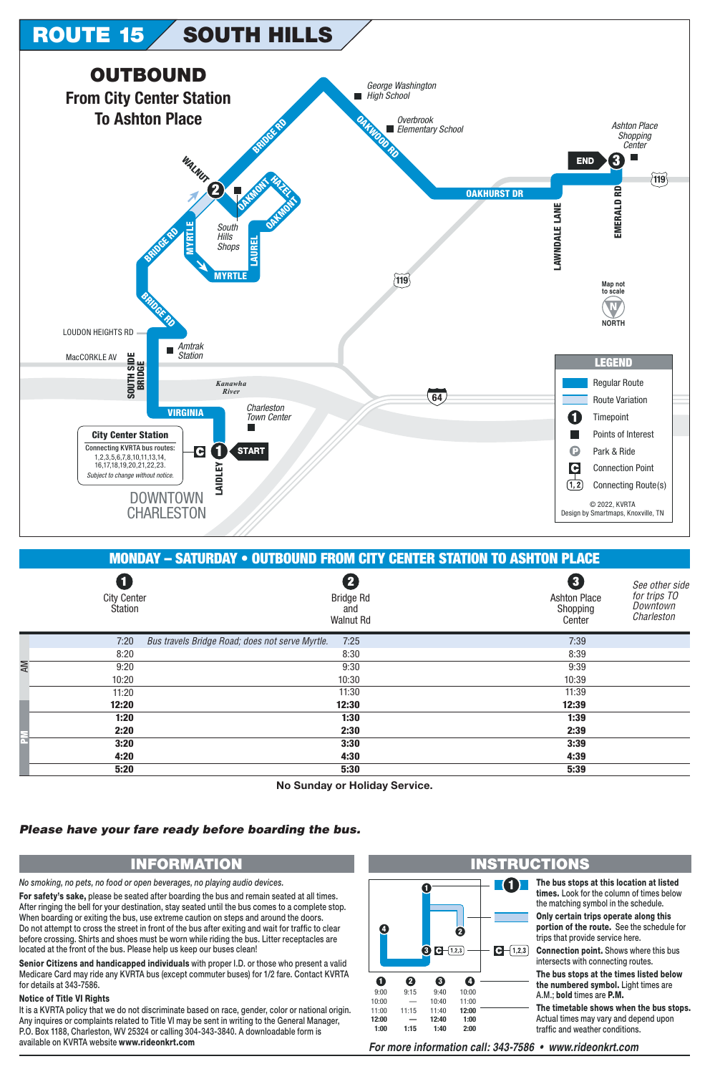

| <b>MONDAY - SATURDAY • OUTBOUND FROM CITY CENTER STATION TO ASHTON PLACE</b> |                                                         |                                                                                                            |  |  |  |
|------------------------------------------------------------------------------|---------------------------------------------------------|------------------------------------------------------------------------------------------------------------|--|--|--|
| O<br><b>City Center</b><br>Station                                           | 2<br><b>Bridge Rd</b><br>and<br><b>Walnut Rd</b>        | 8<br>See other side<br>for trips TO<br><b>Ashton Place</b><br>Downtown<br>Shopping<br>Charleston<br>Center |  |  |  |
| 7:20                                                                         | Bus travels Bridge Road; does not serve Myrtle.<br>7:25 | 7:39                                                                                                       |  |  |  |
| 8:20                                                                         | 8:30                                                    | 8:39                                                                                                       |  |  |  |
| 9:20                                                                         | 9:30                                                    | 9:39                                                                                                       |  |  |  |
| 10:20                                                                        | 10:30                                                   | 10:39                                                                                                      |  |  |  |
| 11:20                                                                        | 11:30                                                   | 11:39                                                                                                      |  |  |  |
| 12:20                                                                        | 12:30                                                   | 12:39                                                                                                      |  |  |  |
| 1:20                                                                         | 1:30                                                    | 1:39                                                                                                       |  |  |  |
| 2:20                                                                         | 2:30                                                    | 2:39                                                                                                       |  |  |  |
| 3:20                                                                         | 3:30                                                    | 3:39                                                                                                       |  |  |  |
| 4:20                                                                         | 4:30                                                    | 4:39                                                                                                       |  |  |  |
| 5:20                                                                         | 5:30                                                    | 5:39                                                                                                       |  |  |  |

**No Sunday or Holiday Service.**

## *Please have your fare ready before boarding the bus.*

*No smoking, no pets, no food or open beverages, no playing audio devices.*

**For safety's sake,** please be seated after boarding the bus and remain seated at all times. After ringing the bell for your destination, stay seated until the bus comes to a complete stop. When boarding or exiting the bus, use extreme caution on steps and around the doors. Do not attempt to cross the street in front of the bus after exiting and wait for traffic to clear before crossing. Shirts and shoes must be worn while riding the bus. Litter receptacles are located at the front of the bus. Please help us keep our buses clean!

**Senior Citizens and handicapped individuals** with proper I.D. or those who present a valid Medicare Card may ride any KVRTA bus (except commuter buses) for 1/2 fare. Contact KVRTA for details at 343-7586.

## **Notice of Title VI Rights**

AM

 $\bar{\tilde{\mathsf{h}}}$ 

It is a KVRTA policy that we do not discriminate based on race, gender, color or national origin. Any inquires or complaints related to Title VI may be sent in writing to the General Manager, P.O. Box 1188, Charleston, WV 25324 or calling 304-343-3840. A downloadable form is available on KVRTA website www.rideonkrt.com *For more information call: 343-7586 • www.rideonkrt.com*